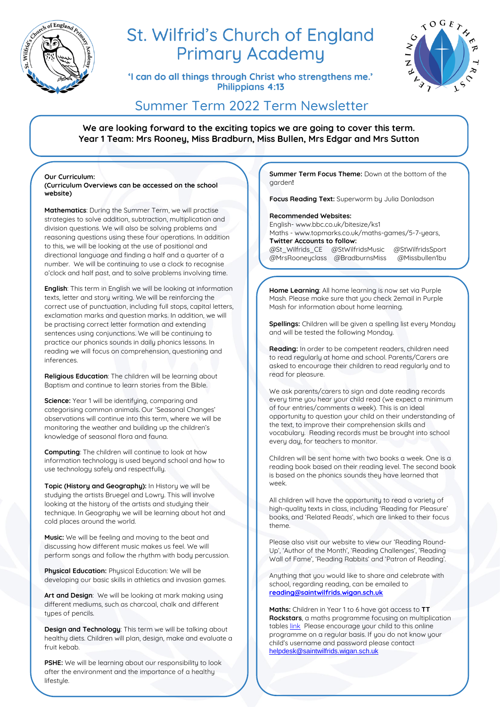

# St. Wilfrid's Church of England **Primary Academy**

'I can do all things through Christ who strengthens me.' **Philippians 4:13** 



## Summer Term 2022 Term Newsletter

**We are looking forward to the exciting topics we are going to cover this term. Year 1 Team: Mrs Rooney, Miss Bradburn, Miss Bullen, Mrs Edgar and Mrs Sutton**

**Our Curriculum: (Curriculum Overviews can be accessed on the school website)**

**Mathematics**: During the Summer Term, we will practise strategies to solve addition, subtraction, multiplication and division questions. We will also be solving problems and reasoning questions using these four operations. In addition to this, we will be looking at the use of positional and directional language and finding a half and a quarter of a number. We will be continuing to use a clock to recognise o'clock and half past, and to solve problems involving time.

**English**: This term in English we will be looking at information texts, letter and story writing. We will be reinforcing the correct use of punctuation, including full stops, capital letters, exclamation marks and question marks. In addition, we will be practising correct letter formation and extending sentences using conjunctions. We will be continuing to practice our phonics sounds in daily phonics lessons. In reading we will focus on comprehension, questioning and inferences.

**Religious Education**: The children will be learning about Baptism and continue to learn stories from the Bible.

**Science:** Year 1 will be identifuing, comparing and categorising common animals. Our 'Seasonal Changes' observations will continue into this term, where we will be monitoring the weather and building up the children's knowledge of seasonal flora and fauna.

**Computing**: The children will continue to look at how information technology is used beyond school and how to use technology safely and respectfully.

**Topic (History and Geography):** In History we will be studying the artists Bruegel and Lowry. This will involve looking at the history of the artists and studying their technique. In Geography we will be learning about hot and cold places around the world.

**Music:** We will be feeling and moving to the beat and discussing how different music makes us feel. We will perform songs and follow the rhythm with body percussion.

**Physical Education:** Physical Education: We will be developing our basic skills in athletics and invasion games.

**Art and Design**: We will be looking at mark making using different mediums, such as charcoal, chalk and different types of pencils.

**Design and Technology**: This term we will be talking about healthy diets. Children will plan, design, make and evaluate a fruit kebab.

**PSHE:** We will be learning about our responsibility to look after the environment and the importance of a healthy lifestyle.

**Summer Term Focus Theme:** Down at the bottom of the garden**!** 

**Focus Reading Text:** Superworm by Julia Donladson

### **Recommended Websites:**

English- www.bbc.co.uk/bitesize/ks1 Maths - www.topmarks.co.uk/maths-games/5-7-years, **Twitter Accounts to follow:**  @St\_Wilfrids\_CE @StWilfridsMusic @StWilfridsSport @MrsRooneyclass @BradburnsMiss @Missbullen1bu

**Home Learning**: All home learning is now set via Purple Mash. Please make sure that you check 2email in Purple Mash for information about home learning.

**Spellings:** Children will be given a spelling list every Monday and will be tested the following Monday.

**Reading:** In order to be competent readers, children need to read regularly at home and school. Parents/Carers are asked to encourage their children to read regularly and to read for pleasure.

We ask parents/carers to sign and date reading records every time you hear your child read (we expect a minimum of four entries/comments a week). This is an ideal opportunity to question your child on their understanding of the text, to improve their comprehension skills and vocabulary. Reading records must be brought into school every day, for teachers to monitor.

Children will be sent home with two books a week. One is a reading book based on their reading level. The second book is based on the phonics sounds they have learned that week.

All children will have the opportunity to read a variety of high-quality texts in class, including 'Reading for Pleasure' books, and 'Related Reads', which are linked to their focus theme.

Please also visit our website to view our 'Reading Round-Up', 'Author of the Month', 'Reading Challenges', 'Reading Wall of Fame', 'Reading Rabbits' and 'Patron of Reading'.

Anything that you would like to share and celebrate with school, regarding reading, can be emailed to **[reading@saintwilfrids.wigan.sch.uk](mailto:reading@saintwilfrids.wigan.sch.uk)**

**Maths:** Children in Year 1 to 6 have got access to **TT Rockstars**, a maths programme focusing on multiplication table[s link](https://play.ttrockstars.com/auth/school/student) Please encourage your child to this online programme on a regular basis. If you do not know your child's username and password please contact [helpdesk@saintwilfrids.wigan.sch.uk](mailto:helpdesk@saintwilfrids.wigan.sch.uk)